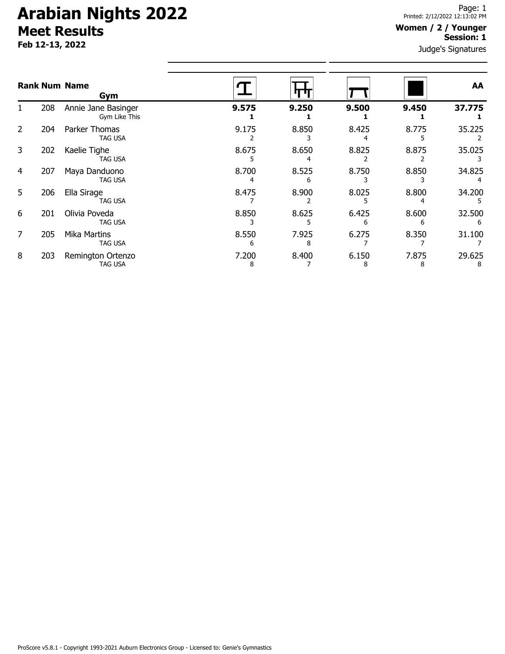# **Arabian Nights 2022 Meet Results**

**Feb 12-13, 2022**

#### **Women / 2 / Younger Session: 1**

Judge's Signatures

|    |     | <b>Rank Num Name</b><br>Gym           |       |       |       |       | AA     |
|----|-----|---------------------------------------|-------|-------|-------|-------|--------|
|    | 208 | Annie Jane Basinger<br>Gym Like This  | 9.575 | 9.250 | 9.500 | 9.450 | 37.775 |
| 2  | 204 | Parker Thomas<br><b>TAG USA</b>       | 9.175 | 8.850 | 8.425 | 8.775 | 35.225 |
| 3  | 202 | Kaelie Tighe<br>TAG USA               | 8.675 | 8.650 | 8.825 | 8.875 | 35.025 |
| 4  | 207 | Maya Danduono<br><b>TAG USA</b>       | 8.700 | 8.525 | 8.750 | 8.850 | 34.825 |
| 5. | 206 | Ella Sirage<br>TAG USA                | 8.475 | 8.900 | 8.025 | 8.800 | 34.200 |
| 6  | 201 | Olivia Poveda<br><b>TAG USA</b>       | 8.850 | 8.625 | 6.425 | 8.600 | 32.500 |
| 7  | 205 | <b>Mika Martins</b><br><b>TAG USA</b> | 8.550 | 7.925 | 6.275 | 8.350 | 31.100 |
| 8  | 203 | Remington Ortenzo<br><b>TAG USA</b>   | 7.200 | 8.400 | 6.150 | 7.875 | 29.625 |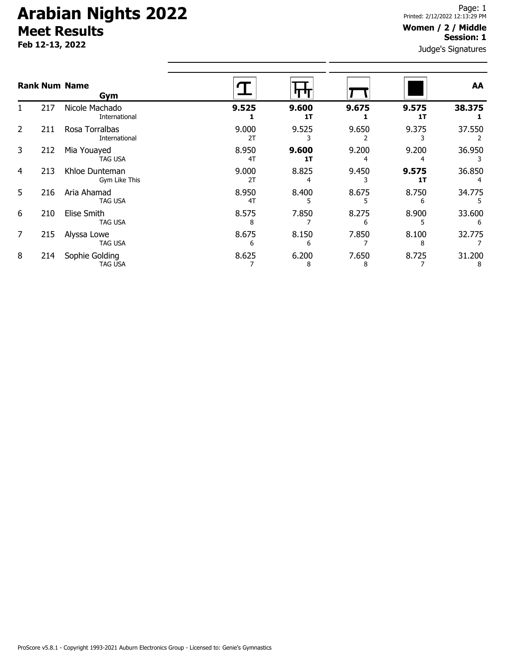# **Arabian Nights 2022 Meet Results**

**Feb 12-13, 2022**

#### **Women / 2 / Middle Session: 1**

Judge's Signatures

|    |     | <b>Rank Num Name</b><br>Gym      |             |             |            |             | AA          |
|----|-----|----------------------------------|-------------|-------------|------------|-------------|-------------|
|    | 217 | Nicole Machado<br>International  | 9.525       | 9.600<br>1T | 9.675      | 9.575<br>1T | 38.375      |
| 2  | 211 | Rosa Torralbas<br>International  | 9.000<br>2T | 9.525       | 9.650      | 9.375       | 37.550      |
| 3  | 212 | Mia Youayed<br>TAG USA           | 8.950<br>4T | 9.600<br>1T | 9.200      | 9.200       | 36.950      |
| 4  | 213 | Khloe Dunteman<br>Gym Like This  | 9.000<br>2T | 8.825       | 9.450      | 9.575<br>1T | 36.850      |
| 5. | 216 | Aria Ahamad<br><b>TAG USA</b>    | 8.950<br>4T | 8.400       | 8.675      | 8.750       | 34.775      |
| 6  | 210 | Elise Smith<br><b>TAG USA</b>    | 8.575<br>8  | 7.850       | 8.275      | 8.900       | 33.600<br>6 |
| 7  | 215 | Alyssa Lowe<br><b>TAG USA</b>    | 8.675<br>6  | 8.150<br>6  | 7.850      | 8.100<br>8  | 32.775      |
| 8  | 214 | Sophie Golding<br><b>TAG USA</b> | 8.625       | 6.200<br>8  | 7.650<br>8 | 8.725       | 31.200<br>8 |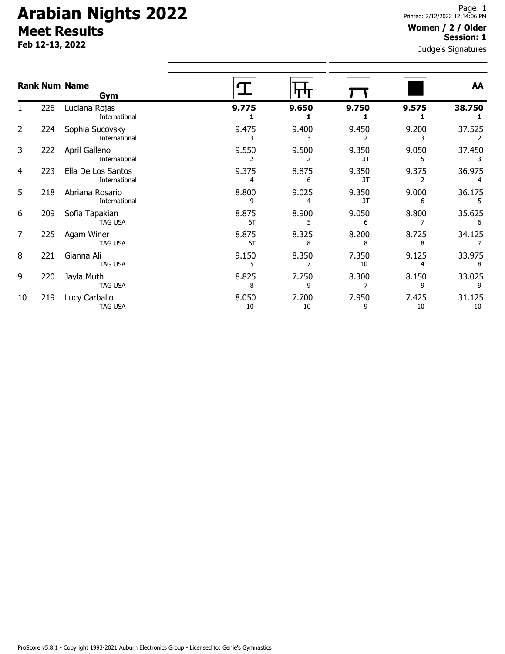# **Arabian Nights 2022 Meet Results**

**Feb 12-13, 2022**

### **Women / 2 / Older Session: 1**

Judge's Signatures

|                |     | <b>Rank Num Name</b><br>Gym         |             |             |             |             | AA           |
|----------------|-----|-------------------------------------|-------------|-------------|-------------|-------------|--------------|
| 1.             | 226 | Luciana Rojas<br>International      | 9.775       | 9.650       | 9.750       | 9.575       | 38.750       |
| 2              | 224 | Sophia Sucovsky<br>International    | 9.475       | 9.400       | 9.450       | 9.200       | 37.525       |
| 3              | 222 | April Galleno<br>International      | 9.550       | 9.500       | 9.350<br>3T | 9.050<br>5  | 37.450       |
| 4              | 223 | Ella De Los Santos<br>International | 9.375<br>4  | 8.875<br>6  | 9.350<br>3T | 9.375       | 36.975<br>4  |
| 5              | 218 | Abriana Rosario<br>International    | 8.800<br>9  | 9.025<br>4  | 9.350<br>3T | 9.000<br>6  | 36.175<br>5  |
| 6              | 209 | Sofia Tapakian<br><b>TAG USA</b>    | 8.875<br>6T | 8.900       | 9.050<br>6  | 8.800       | 35.625<br>6  |
| $\overline{7}$ | 225 | Agam Winer<br>TAG USA               | 8.875<br>6T | 8.325<br>8  | 8.200<br>8  | 8.725<br>8  | 34.125       |
| 8              | 221 | Gianna Ali<br>TAG USA               | 9.150<br>5  | 8.350       | 7.350<br>10 | 9.125<br>4  | 33.975<br>8  |
| 9              | 220 | Jayla Muth<br><b>TAG USA</b>        | 8.825<br>8  | 7.750<br>9  | 8.300       | 8.150<br>9  | 33.025<br>9  |
| 10             | 219 | Lucy Carballo<br><b>TAG USA</b>     | 8.050<br>10 | 7.700<br>10 | 7.950<br>9  | 7.425<br>10 | 31.125<br>10 |